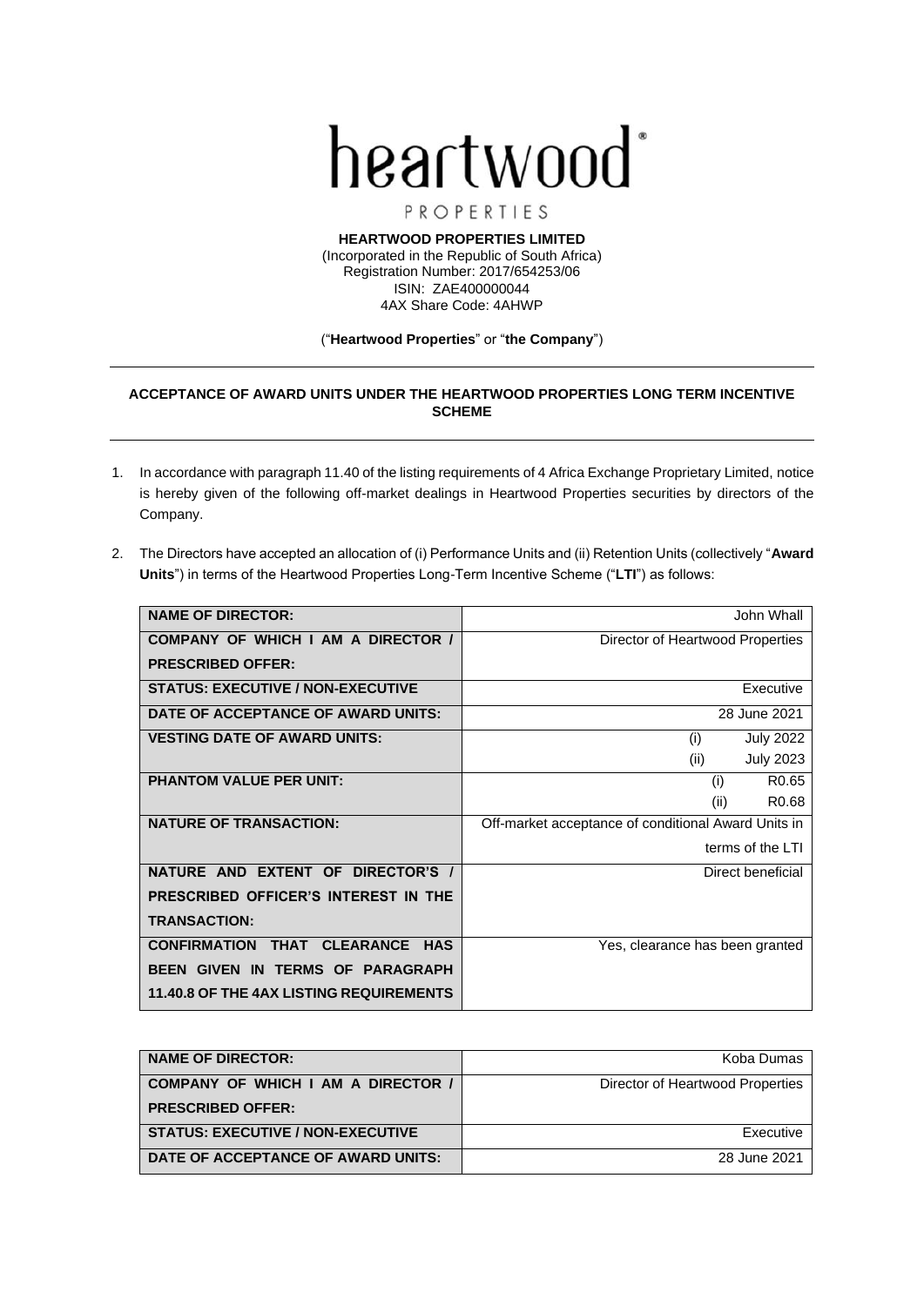

PROPERTIES

**HEARTWOOD PROPERTIES LIMITED** (Incorporated in the Republic of South Africa) Registration Number: 2017/654253/06 ISIN: ZAE400000044 4AX Share Code: 4AHWP

## ("**Heartwood Properties**" or "**the Company**")

## **ACCEPTANCE OF AWARD UNITS UNDER THE HEARTWOOD PROPERTIES LONG TERM INCENTIVE SCHEME**

- 1. In accordance with paragraph 11.40 of the listing requirements of 4 Africa Exchange Proprietary Limited, notice is hereby given of the following off-market dealings in Heartwood Properties securities by directors of the Company.
- 2. The Directors have accepted an allocation of (i) Performance Units and (ii) Retention Units (collectively "**Award Units**") in terms of the Heartwood Properties Long-Term Incentive Scheme ("**LTI**") as follows:

| <b>NAME OF DIRECTOR:</b>                       | John Whall                                          |  |
|------------------------------------------------|-----------------------------------------------------|--|
| COMPANY OF WHICH I AM A DIRECTOR /             | Director of Heartwood Properties                    |  |
| <b>PRESCRIBED OFFER:</b>                       |                                                     |  |
| <b>STATUS: EXECUTIVE / NON-EXECUTIVE</b>       | Executive                                           |  |
| DATE OF ACCEPTANCE OF AWARD UNITS:             | 28 June 2021                                        |  |
| <b>VESTING DATE OF AWARD UNITS:</b>            | (i)<br><b>July 2022</b>                             |  |
|                                                | (ii)<br><b>July 2023</b>                            |  |
| <b>PHANTOM VALUE PER UNIT:</b>                 | R <sub>0.65</sub><br>(i)                            |  |
|                                                | R <sub>0.68</sub><br>(ii)                           |  |
| <b>NATURE OF TRANSACTION:</b>                  | Off-market acceptance of conditional Award Units in |  |
|                                                | terms of the LTI                                    |  |
| NATURE AND EXTENT OF DIRECTOR'S /              | Direct beneficial                                   |  |
| PRESCRIBED OFFICER'S INTEREST IN THE           |                                                     |  |
| <b>TRANSACTION:</b>                            |                                                     |  |
| THAT CLEARANCE HAS<br><b>CONFIRMATION</b>      | Yes, clearance has been granted                     |  |
| BEEN GIVEN IN TERMS OF PARAGRAPH               |                                                     |  |
| <b>11.40.8 OF THE 4AX LISTING REQUIREMENTS</b> |                                                     |  |

| <b>NAME OF DIRECTOR:</b>                 | Koba Dumas                       |
|------------------------------------------|----------------------------------|
| COMPANY OF WHICH I AM A DIRECTOR /       | Director of Heartwood Properties |
| <b>PRESCRIBED OFFER:</b>                 |                                  |
| <b>STATUS: EXECUTIVE / NON-EXECUTIVE</b> | Executive                        |
| DATE OF ACCEPTANCE OF AWARD UNITS:       | 28 June 2021                     |